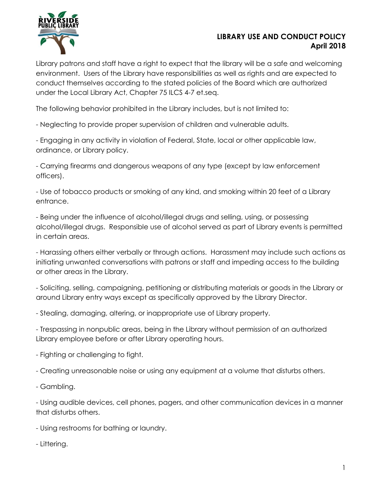

## **LIBRARY USE AND CONDUCT POLICY April 2018**

Library patrons and staff have a right to expect that the library will be a safe and welcoming environment. Users of the Library have responsibilities as well as rights and are expected to conduct themselves according to the stated policies of the Board which are authorized under the Local Library Act, Chapter 75 ILCS 4-7 et.seq.

The following behavior prohibited in the Library includes, but is not limited to:

- Neglecting to provide proper supervision of children and vulnerable adults.

- Engaging in any activity in violation of Federal, State, local or other applicable law, ordinance, or Library policy.

- Carrying firearms and dangerous weapons of any type (except by law enforcement officers).

- Use of tobacco products or smoking of any kind, and smoking within 20 feet of a Library entrance.

- Being under the influence of alcohol/illegal drugs and selling, using, or possessing alcohol/illegal drugs. Responsible use of alcohol served as part of Library events is permitted in certain areas.

- Harassing others either verbally or through actions. Harassment may include such actions as initiating unwanted conversations with patrons or staff and impeding access to the building or other areas in the Library.

- Soliciting, selling, campaigning, petitioning or distributing materials or goods in the Library or around Library entry ways except as specifically approved by the Library Director.

- Stealing, damaging, altering, or inappropriate use of Library property.

- Trespassing in nonpublic areas, being in the Library without permission of an authorized Library employee before or after Library operating hours.

- Fighting or challenging to fight.

- Creating unreasonable noise or using any equipment at a volume that disturbs others.

- Gambling.

- Using audible devices, cell phones, pagers, and other communication devices in a manner that disturbs others.

- Using restrooms for bathing or laundry.

- Littering.